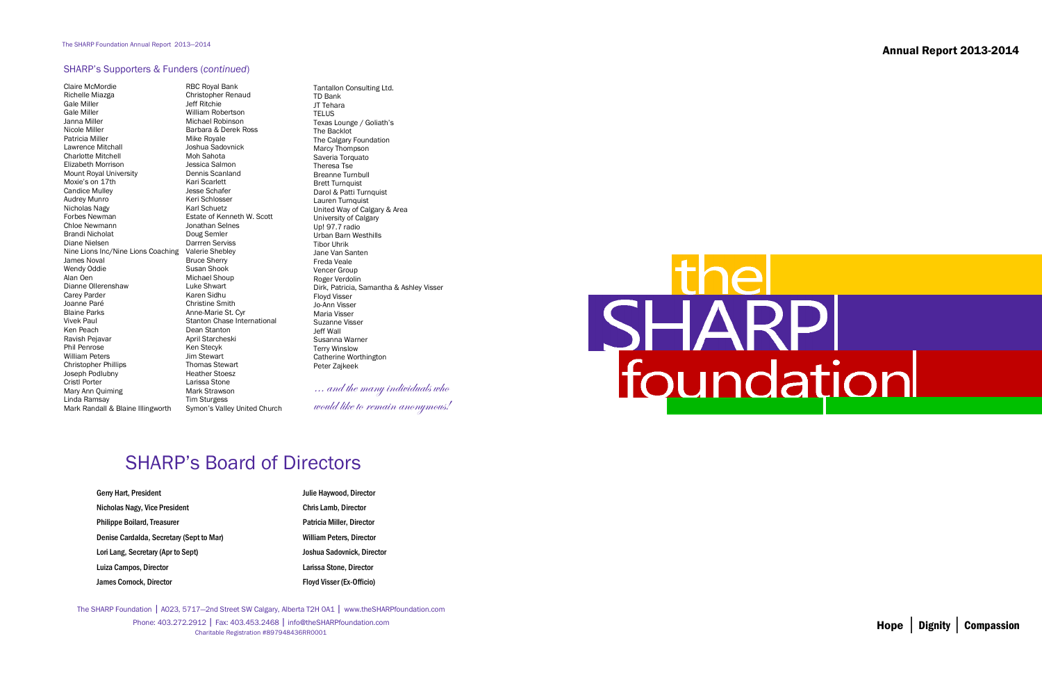The SHARP Foundation | A023, 5717—2nd Street SW Calgary, Alberta T2H 0A1 | www.theSHARPfoundation.com Phone: 403.272.2912 | Fax: 403.453.2468 | info@theSHARPfoundation.com Charitable Registration #897948436RR0001

## SHARP's Board of Directors

Tantallon Consulting Ltd. TD Bank JT Tehara **TELUS**  Texas Lounge / Goliath's The Backlot The Calgary Foundation Marcy Thompson Saveria Torquato Theresa Tse Breanne Turnbull Brett Turnquist Darol & Patti Turnquist Lauren Turnquist United Way of Calgary & Area University of Calgary Up! 97.7 radio Urban Barn Westhills Tibor Uhrik Jane Van Santen Freda Veale Vencer Group Roger Verdolin Dirk, Patricia, Samantha & Ashley Visser Floyd Visser Jo-Ann Visser Maria Visser Suzanne Visser Jeff Wall Susanna Warner Terry Winslow Catherine Worthington Peter Zajkeek

 $\ldots$  and the many individuals who

would like to remain anonymous!

## **SHA**

## SHARP's Supporters & Funders (*continued*)

Claire McMordie Richelle Miazga Gale Miller Gale Miller Janna Miller Nicole Miller Patricia Miller Lawrence Mitchall Charlotte Mitchell Elizabeth Morrison Mount Royal University Moxie's on 17th Candice Mulley Audrey Munro Nicholas Nagy Forbes Newman Chloe Newmann Brandi Nicholat Diane Nielsen Nine Lions Inc/Nine Lions Coaching James Noval Wendy Oddie Alan Oen Dianne Ollerenshaw Carey Parder Joanne Paré Blaine Parks Vivek Paul Ken Peach Ravish Pejavar Phil Penrose William Peters Christopher Phillips Joseph Podlubny Cristl Porter Mary Ann Quiming Linda Ramsay Mark Randall & Blaine Illingworth

RBC Royal Bank Christopher Renaud Jeff Ritchie William Robertson Michael Robinson Barbara & Derek Ross Mike Royale Joshua Sadovnick Moh Sahota Jessica Salmon Dennis Scanland Kari Scarlett Jesse Schafer Keri Schlosser Karl Schuetz Estate of Kenneth W. Scott Jonathan Selnes Doug Semler Darrren Serviss Valerie Shebley Bruce Sherry Susan Shook Michael Shoup Luke Shwart Karen Sidhu Christine Smith Anne-Marie St. Cyr Stanton Chase International Dean Stanton April Starcheski Ken Stecyk Jim Stewart Thomas Stewart Heather Stoesz Larissa Stone Mark Strawson Tim Sturgess Symon's Valley United Church

| Gerry Hart, President                    | Julie Haywood, Director          |
|------------------------------------------|----------------------------------|
| Nicholas Nagy, Vice President            | <b>Chris Lamb, Director</b>      |
| <b>Philippe Boilard, Treasurer</b>       | <b>Patricia Miller, Director</b> |
| Denise Cardalda, Secretary (Sept to Mar) | <b>William Peters, Director</b>  |
| Lori Lang, Secretary (Apr to Sept)       | Joshua Sadovnick, Dire           |
| Luiza Campos, Director                   | Larissa Stone, Director          |
| James Cornock, Director                  | <b>Floyd Visser (Ex-Officio)</b> |

Chris Lamb, Director Patricia Miller, Director **William Peters, Director** Joshua Sadovnick, Director Larissa Stone, Director

Annual Report 2013-2014



Hope │ Dignity │ Compassion